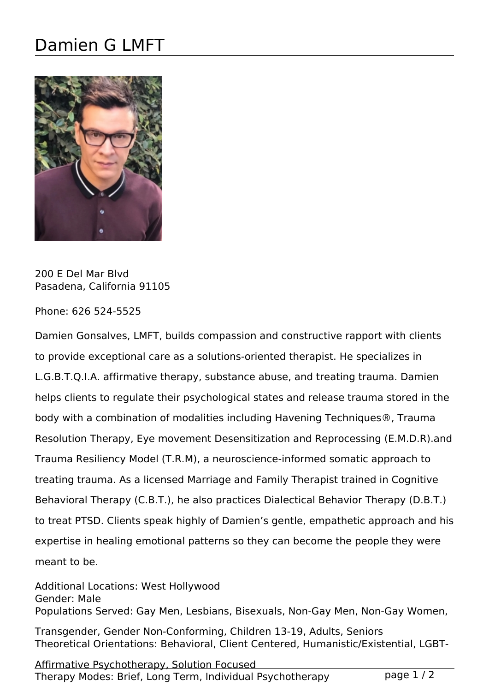## Damien G LMFT



200 E Del Mar Blvd Pasadena, California 91105

Phone: 626 524-5525

Damien Gonsalves, LMFT, builds compassion and constructive rapport with clients to provide exceptional care as a solutions-oriented therapist. He specializes in L.G.B.T.Q.I.A. affirmative therapy, substance abuse, and treating trauma. Damien helps clients to regulate their psychological states and release trauma stored in the body with a combination of modalities including Havening Techniques®, Trauma Resolution Therapy, Eye movement Desensitization and Reprocessing (E.M.D.R).and Trauma Resiliency Model (T.R.M), a neuroscience-informed somatic approach to treating trauma. As a licensed Marriage and Family Therapist trained in Cognitive Behavioral Therapy (C.B.T.), he also practices Dialectical Behavior Therapy (D.B.T.) to treat PTSD. Clients speak highly of Damien's gentle, empathetic approach and his expertise in healing emotional patterns so they can become the people they were meant to be.

Additional Locations: West Hollywood Gender: Male Populations Served: Gay Men, Lesbians, Bisexuals, Non-Gay Men, Non-Gay Women,

Transgender, Gender Non-Conforming, Children 13-19, Adults, Seniors Theoretical Orientations: Behavioral, Client Centered, Humanistic/Existential, LGBT-